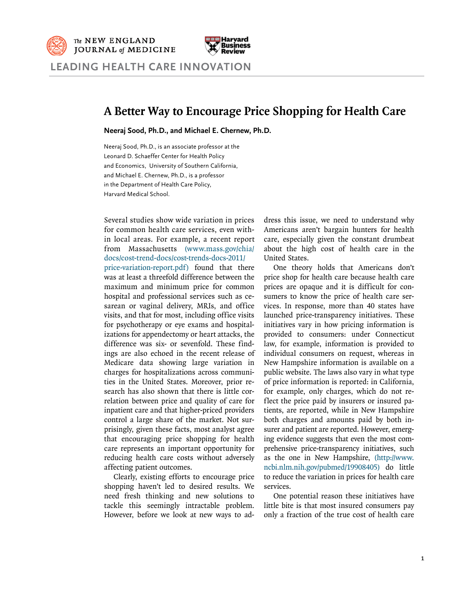## **A Better Way to Encourage Price Shopping for Health Care**

**Neeraj Sood, Ph.D., and Michael E. Chernew, Ph.D.**

Neeraj Sood, Ph.D., is an associate professor at the Leonard D. Schaeffer Center for Health Policy and Economics, University of Southern California, and Michael E. Chernew, Ph.D., is a professor in the Department of Health Care Policy, Harvard Medical School.

Several studies show wide variation in prices for common health care services, even within local areas. For example, a recent report from Massachusetts [\(www.mass.gov/chia/](www.mass.gov/chia/docs/cost-trend-docs/cost-trends-docs-2011/price-variation-report.pdf) [docs/cost-trend-docs/cost-trends-docs-2011/](www.mass.gov/chia/docs/cost-trend-docs/cost-trends-docs-2011/price-variation-report.pdf)

[price-variation-report.pdf](www.mass.gov/chia/docs/cost-trend-docs/cost-trends-docs-2011/price-variation-report.pdf)) found that there was at least a threefold difference between the maximum and minimum price for common hospital and professional services such as cesarean or vaginal delivery, MRIs, and office visits, and that for most, including office visits for psychotherapy or eye exams and hospitalizations for appendectomy or heart attacks, the difference was six- or sevenfold. These findings are also echoed in the recent release of Medicare data showing large variation in charges for hospitalizations across communities in the United States. Moreover, prior research has also shown that there is little correlation between price and quality of care for inpatient care and that higher-priced providers control a large share of the market. Not surprisingly, given these facts, most analyst agree that encouraging price shopping for health care represents an important opportunity for reducing health care costs without adversely affecting patient outcomes.

Clearly, existing efforts to encourage price shopping haven't led to desired results. We need fresh thinking and new solutions to tackle this seemingly intractable problem. However, before we look at new ways to address this issue, we need to understand why Americans aren't bargain hunters for health care, especially given the constant drumbeat about the high cost of health care in the United States.

One theory holds that Americans don't price shop for health care because health care prices are opaque and it is difficult for consumers to know the price of health care services. In response, more than 40 states have launched price-transparency initiatives. These initiatives vary in how pricing information is provided to consumers: under Connecticut law, for example, information is provided to individual consumers on request, whereas in New Hampshire information is available on a public website. The laws also vary in what type of price information is reported: in California, for example, only charges, which do not reflect the price paid by insurers or insured patients, are reported, while in New Hampshire both charges and amounts paid by both insurer and patient are reported. However, emerging evidence suggests that even the most comprehensive price-transparency initiatives, such as the one in New Hampshire, [\(http://www.](http://www.ncbi.nlm.nih.gov/pubmed/19908405) [ncbi.nlm.nih.gov/pubmed/19908405](http://www.ncbi.nlm.nih.gov/pubmed/19908405)) do little to reduce the variation in prices for health care services.

One potential reason these initiatives have little bite is that most insured consumers pay only a fraction of the true cost of health care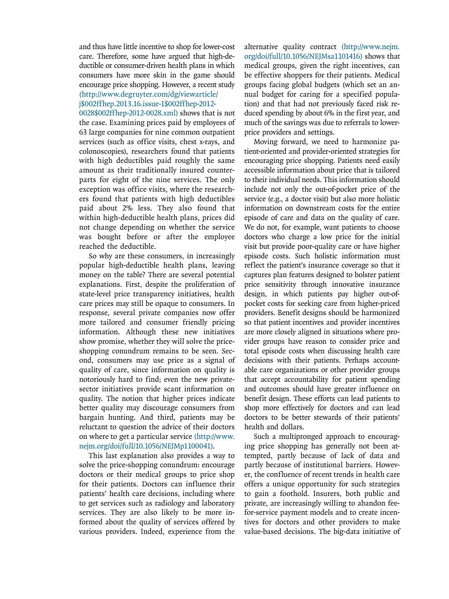and thus have little incentive to shop for lower-cost care. Therefore, some have argued that high-deductible or consumer-driven health plans in which consumers have more skin in the game should encourage price shopping. However, a recent study [\(http://www.degruyter.com/dg/viewarticle/](http://www.degruyter.com/dg/viewarticle)

## j[\\$002ffhep.2013.16.issue](002ffhep.2013.16.issue)-1\$002ffhep-2012-

0028[\\$002ffhep-2012-0028.xml\)](002ffhep-2012-0028.xml) shows that is not the case. Examining prices paid by employees of 63 large companies for nine common outpatient services (such as office visits, chest x-rays, and colonoscopies), researchers found that patients with high deductibles paid roughly the same amount as their traditionally insured counterparts for eight of the nine services. The only exception was office visits, where the researchers found that patients with high deductibles paid about 2% less. They also found that within high-deductible health plans, prices did not change depending on whether the service was bought before or after the employee reached the deductible.

So why are these consumers, in increasingly popular high-deductible health plans, leaving money on the table? There are several potential explanations. First, despite the proliferation of state-level price transparency initiatives, health care prices may still be opaque to consumers. In response, several private companies now offer more tailored and consumer friendly pricing information. Although these new initiatives show promise, whether they will solve the priceshopping conundrum remains to be seen. Second, consumers may use price as a signal of quality of care, since information on quality is notoriously hard to find; even the new privatesector initiatives provide scant information on quality. The notion that higher prices indicate better quality may discourage consumers from bargain hunting. And third, patients may be reluctant to question the advice of their doctors on where to get a particular service [\(http://www.](http://www.nejm.org/doi/full/10.1056/NEJMp1100041) [nejm.org/doi/full/10.1056/NEJMp1100041\)](http://www.nejm.org/doi/full/10.1056/NEJMp1100041).

This last explanation also provides a way to solve the price-shopping conundrum: encourage doctors or their medical groups to price shop for their patients. Doctors can influence their patients' health care decisions, including where to get services such as radiology and laboratory services. They are also likely to be more informed about the quality of services offered by various providers. Indeed, experience from the alternative quality contract [\(http://www.nejm.](http://www.nejm.org/doi/full/10.1056/NEJMsa1101416) [org/doi/full/10.1056/NEJMsa1101416\)](http://www.nejm.org/doi/full/10.1056/NEJMsa1101416) shows that medical groups, given the right incentives, can be effective shoppers for their patients. Medical groups facing global budgets (which set an annual budget for caring for a specified population) and that had not previously faced risk reduced spending by about 6% in the first year, and much of the savings was due to referrals to lowerprice providers and settings.

Moving forward, we need to harmonize patient-oriented and provider-oriented strategies for encouraging price shopping. Patients need easily accessible information about price that is tailored to their individual needs. This information should include not only the out-of-pocket price of the service (e.g., a doctor visit) but also more holistic information on downstream costs for the entire episode of care and data on the quality of care. We do not, for example, want patients to choose doctors who charge a low price for the initial visit but provide poor-quality care or have higher episode costs. Such holistic information must reflect the patient's insurance coverage so that it captures plan features designed to bolster patient price sensitivity through innovative insurance design, in which patients pay higher out-ofpocket costs for seeking care from higher-priced providers. Benefit designs should be harmonized so that patient incentives and provider incentives are more closely aligned in situations where provider groups have reason to consider price and total episode costs when discussing health care decisions with their patients. Perhaps accountable care organizations or other provider groups that accept accountability for patient spending and outcomes should have greater influence on benefit design. These efforts can lead patients to shop more effectively for doctors and can lead doctors to be better stewards of their patients' health and dollars.

Such a multipronged approach to encouraging price shopping has generally not been attempted, partly because of lack of data and partly because of institutional barriers. However, the confluence of recent trends in health care offers a unique opportunity for such strategies to gain a foothold. Insurers, both public and private, are increasingly willing to abandon feefor-service payment models and to create incentives for doctors and other providers to make value-based decisions. The big-data initiative of